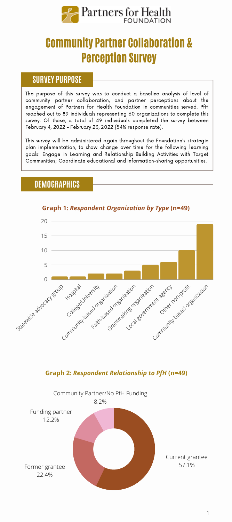

# Community Partner Collaboration & Perception Survey

#### **SURVEY PURPOSE**

The purpose of this survey was to conduct a baseline analysis of level of community partner collaboration, and partner perceptions about the engagement of Partners for Health Foundation in communities served. PfH reached out to 89 individuals representing 60 organizations to complete this survey. Of those, a total of 49 individuals completed the survey between February 4, 2022 - February 23, 2022 (54% response rate).

This survey will be administered again throughout the Foundation's strategic plan implementation, to show change over time for the following learning goals: Engage in Learning and Relationship Building Activities with Target Communities; Coordinate educational and information-sharing opportunities.

## **DEMOGRAPHICS**



#### **Graph 1:** *Respondent Organization by Type* **(n=49)**

#### **Graph 2:** *Respondent Relationship to PfH* **(n=49)**

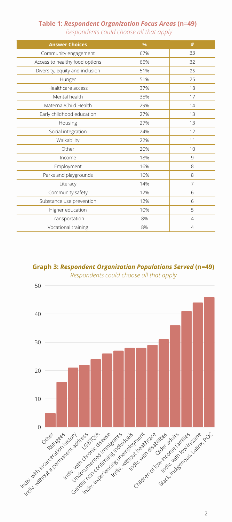#### **Table 1:** *Respondent Organization Focus Areas* **(n=49)**

| Respondents could choose all that apply |  |  |  |  |
|-----------------------------------------|--|--|--|--|
|-----------------------------------------|--|--|--|--|

| <b>Answer Choices</b>           | %   | #              |
|---------------------------------|-----|----------------|
| Community engagement            | 67% | 33             |
| Access to healthy food options  | 65% | 32             |
| Diversity, equity and inclusion | 51% | 25             |
| Hunger                          | 51% | 25             |
| Healthcare access               | 37% | 18             |
| Mental health                   | 35% | 17             |
| Maternal/Child Health           | 29% | 14             |
| Early childhood education       | 27% | 13             |
| Housing                         | 27% | 13             |
| Social integration              | 24% | 12             |
| Walkability                     | 22% | 11             |
| Other                           | 20% | 10             |
| Income                          | 18% | 9              |
| Employment                      | 16% | 8              |
| Parks and playgrounds           | 16% | 8              |
| Literacy                        | 14% | 7              |
| Community safety                | 12% | 6              |
| Substance use prevention        | 12% | 6              |
| Higher education                | 10% | 5              |
| Transportation                  | 8%  | $\overline{4}$ |
| Vocational training             | 8%  | $\overline{4}$ |

### **Graph 3:** *Respondent Organization Populations Served* **(n=49)**

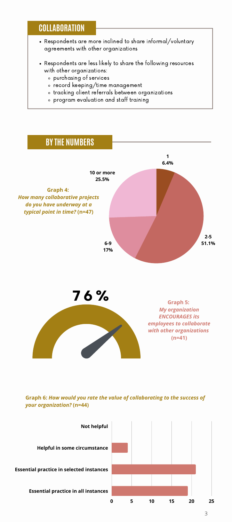### **COLLABORATION**

- Respondents are more inclined to share informal/voluntary agreements with other organizations
- Respondents are less likely to share the following resources with other organizations:
	- purchasing of services
	- record keeping/time management
	- tracking client referrals between organizations
	- program evaluation and staff training



#### **Graph 6:** *How would you rate the value of collaborating to the success of your organization?* **(n=44)**

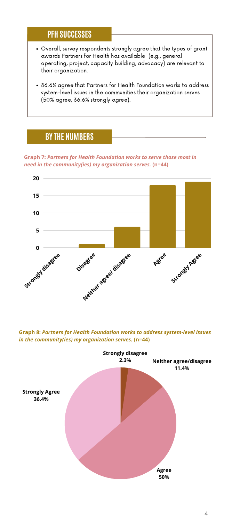## **PFH SUCCESSES**

- Overall, survey respondents strongly agree that the types of grant awards Partners for Health has available (e.g., general operating, project, capacity building, advocacy) are relevant to their organization.
- 86.6% agree that Partners for Health Foundation works to address system-level issues in the communities their organization serves (50% agree, 36.6% strongly agree).

### **BY THE NUMBERS**

**Graph 7:** *Partners for Health Foundation works to serve those most in need in the community(ies) my organization serves.* **(n=44)**



**Graph 8:** *Partners for Health Foundation works to address system-level issues in the community(ies) my organization serves.* **(n=44)**

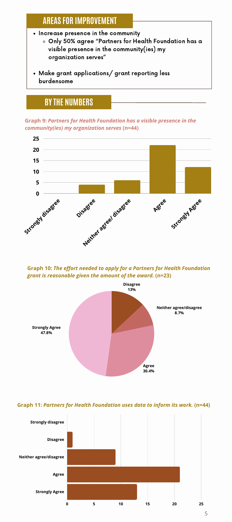## **AREAS FOR IMPROVEMENT**

- Increase presence in the community Only 50% agree "Partners for Health Foundation has a visible presence in the community(ies) my organization serves"
- Make grant applications/ grant reporting less burdensome

# **BY THE NUMBERS**

**Graph 9:** *Partners for Health Foundation has a visible presence in the community(ies) my organization serves* **(n=44)**



**Graph 10:** *The effort needed to apply for a Partners for Health Foundation grant is reasonable given the amount of the award.* **(n=23)**



#### **Graph 11:** *Partners for Health Foundation uses data to inform its work.* **(n=44)**